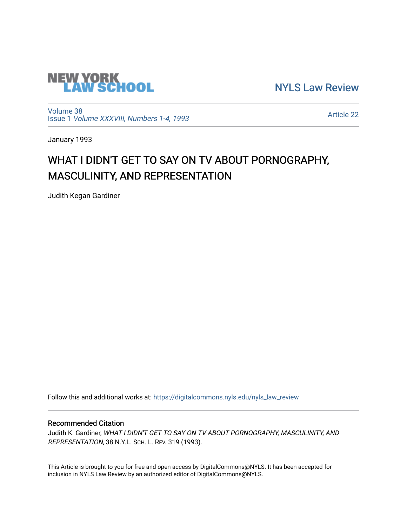

[NYLS Law Review](https://digitalcommons.nyls.edu/nyls_law_review) 

[Volume 38](https://digitalcommons.nyls.edu/nyls_law_review/vol38) Issue 1 [Volume XXXVIII, Numbers 1-4, 1993](https://digitalcommons.nyls.edu/nyls_law_review/vol38/iss1)

[Article 22](https://digitalcommons.nyls.edu/nyls_law_review/vol38/iss1/22) 

January 1993

## WHAT I DIDN'T GET TO SAY ON TV ABOUT PORNOGRAPHY, MASCULINITY, AND REPRESENTATION

Judith Kegan Gardiner

Follow this and additional works at: [https://digitalcommons.nyls.edu/nyls\\_law\\_review](https://digitalcommons.nyls.edu/nyls_law_review?utm_source=digitalcommons.nyls.edu%2Fnyls_law_review%2Fvol38%2Fiss1%2F22&utm_medium=PDF&utm_campaign=PDFCoverPages) 

## Recommended Citation

Judith K. Gardiner, WHAT I DIDN'T GET TO SAY ON TV ABOUT PORNOGRAPHY, MASCULINITY, AND REPRESENTATION, 38 N.Y.L. SCH. L. REV. 319 (1993).

This Article is brought to you for free and open access by DigitalCommons@NYLS. It has been accepted for inclusion in NYLS Law Review by an authorized editor of DigitalCommons@NYLS.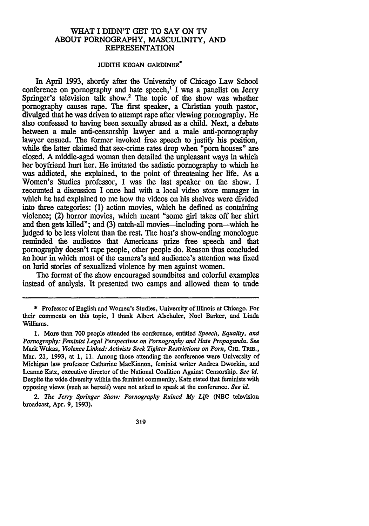## WHAT I DIDN'T **GET** TO SAY **ON** TV **ABOUT** PORNOGRAPHY, **MASCULINITY, AND** REPRESENTATION

## **JUDITH KEGAN GARDINER\***

In April **1993,** shortly after the University of Chicago Law School conference on pornography and hate speech, $1$  I was a panelist on Jerry Springer's television talk show.<sup>2</sup> The topic of the show was whether pornography causes rape. The first speaker, a Christian youth pastor, divulged that he was driven to attempt rape after viewing pornography. He also confessed to having been sexually abused as a child. Next, a debate between a male anti-censorship lawyer and a male anti-pornography lawyer ensued. The former invoked free speech **to** justify his position, while the latter claimed that sex-crime rates drop when **"porn** houses" are closed. **A** middle-aged woman then detailed the unpleasant ways in which her boyfriend hurt her. **He** imitated the sadistic pornography **to** which he was addicted, she explained, **to** the point of threatening her life. As a Women's Studies professor, I was the last speaker on the show. **I** recounted a discussion **I** once had with a local video store manager in which he had explained **to** me how the videos on his shelves were divided into three categories: **(1)** action movies, which he defined as containing violence; (2) horror movies, which meant "some girl takes off her shirt and then gets killed"; and (3) catch-all movies—including porn—which he judged to be less violent than the rest. The host's show-ending monologue reminded the audience that Americans prize free speech and that pornography doesn't rape people, other people do. Reason thus concluded an hour in which most of the camera's and audience's attention was fixed on lurid stories of sexualized violence **by** men against women.

The format of the show encouraged soundbites and colorful examples instead of analysis. It presented two camps and allowed them to trade

2. *The Jerry Springer Show: Pornography Ruined My Life* **(NBC** television broadcast, Apr. **9, 1993).**

319

**<sup>\*</sup>** Professor of English and Women's Studies, University of Illinois at Chicago. For their comments on this topic, **I** thank Albert Alschuler, Noel Barker, and Linda Williams.

**<sup>1.</sup>** More than **700** people attended the conference, entitled *Speech, Equality, and Pornography: Feminist Legal Perspectives on Pornography and Hate Propaganda. See* **Mark Wukas,** *Violence Linked: Activists Seek Tighter Restrictions on Porn,* **Ci. TRIB.,** Mar. 21, **1993,** at **1, 11.** Among those attending the conference were University of Michigan law professor Catharine MacKinnon, feminist writer Andrea Dworkin, and Leanne Katz, executive director of the National Coalition Against Censorship. *See id.* Despite the wide diversity within the feminist community, Katz stated that feminists with opposing views (such as herself) were not asked to speak at the conference. *See id.*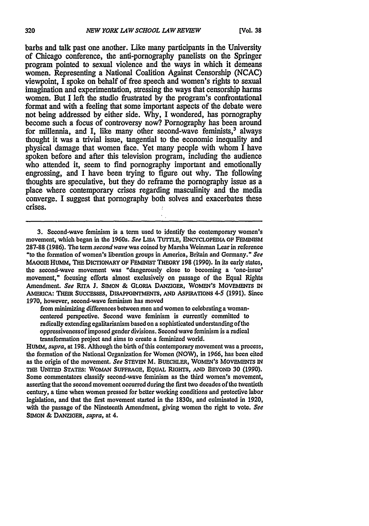barbs and talk past one another. Like many participants in the University of Chicago conference, the anti-pornography panelists on the Springer program pointed to sexual violence and the ways in which it demeans women. Representing a National Coalition Against Censorship **(NCAC)** viewpoint, I spoke on behalf of free speech and women's rights to sexual imagination and experimentation, stressing the ways that censorship harms women. But I left the studio frustrated **by** the program's confrontational format and with a feeling that some important aspects of the debate were not being addressed **by** either side. **Why, I** wondered, has pornography become such a focus of controversy now? Pornography has been around for millennia, and I, like many other second-wave feminists,<sup>3</sup> always thought it was a trivial issue, tangential to the economic inequality and physical damage that women face. Yet many people with whom I have spoken before and after this television program, including the audience who attended it, seem to find pornography important and emotionally engrossing, and **I** have been trying to figure out why. The following thoughts are speculative, but they do reframe the pornography issue as a place where contemporary crises regarding masculinity and the media converge. I suggest that pornography both solves and exacerbates these crises.

3. Second-wave feminism is a term used to identify the contemporary women's movement, which began in the 1960s. *See* LIsA TUTTLE, ENCYCLOPEDIA **OF** FEMINISM **287-88** (1986). The term *second wave* was coined by Marsha Weinman Lear in reference "to the formation of women's liberation groups in America, Britain and Germany." *See* MAGom HUMm, **THE** DICTIONARY OF FEMINIST THEORY 198 (1990). In its early states, the second-wave movement was "dangerously close to becoming a 'one-issue' movement," focusing efforts almost exclusively on passage of the Equal Rights Amendment. See RITA J. SIMON & GLORIA DANZIGER, WOMEN'S MOVEMENTS IN AMERICA: THEIR SUCCESSES, DISAPPOINTMENTS, AND ASPIRATIONS 4-5 (1991). Since **1970,** however, second-wave feminism has moved

from minimizing differences between men and women to celebrating a womancentered perspective. Second wave feminism is currently committed to radically extending egalitarianism based on a sophisticated understanding of the oppressivenessof imposed gender divisions. Second wave feminism is a radical transformation project and aims to create a feminized world.

*HUMM, supra,* at 198. Although the birth of this contemporary movement was a process, the formation of the National Organization for Women (NOW), in 1966, has been cited as the origin of the movement. *See* STEvEN M. BUECHLER, WOMEN'S MovEMENTs IN **THE** UNrrED STATES: WOMAN SUFFRAGE, **EQUAL RIGHTS, AND** BEYOND **30 (1990).** Some commentators classify second-wave feminism as the third women's movement, asserting that the second movement occurred during the first two decades of the twentieth century, a time when women pressed for better working conditions and protective labor legislation, and that the first movement started in the 1830s, and culminated in **1920,** with the passage of the Nineteenth Amendment, giving women the right to vote. *See SIMON* & DANzIGER, *supra,* at 4.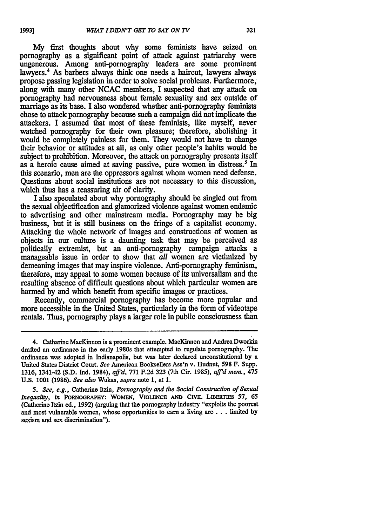My first thoughts about why some feminists have seized on pornography as a significant point of attack against patriarchy were ungenerous. Among anti-pornography leaders are some prominent lawyers.4 As barbers always think one needs a haircut, lawyers always propose passing legislation in order to solve social problems. Furthermore, along with many other NCAC members, I suspected that any attack on pornography had nervousness about female sexuality and sex outside of marriage as its base. I also wondered whether anti-pornography feminists chose to attack pornography because such a campaign did not implicate the attackers. I assumed that most of these feminists, like myself, never watched pornography for their own pleasure; therefore, abolishing it would be completely painless for them. They would not have to change their behavior or attitudes at all, as only other people's habits would be subject to prohibition. Moreover, the attack on pornography presents itself as a heroic cause aimed at saving passive, pure women in distress.<sup>5</sup> In this scenario, men are the oppressors against whom women need defense. Questions about social institutions are not necessary to this discussion, which thus has a reassuring air of clarity.

I also speculated about why pornography should be singled out from the sexual objectification and glamorized violence against women endemic to advertising and other mainstream media. Pornography may be big business, but it is still business on the fringe of a capitalist economy. Attacking the whole network of images and constructions of women as objects in our culture is a daunting task that may be perceived as politically extremist, but an anti-pornography campaign attacks a manageable issue in order to show that *all* women are victimized by demeaning images that may inspire violence. Anti-pornography feminism, therefore, may appeal to some women because of its universalism and the resulting absence of difficult questions about which particular women are harmed by and which benefit from specific images or practices.

Recently, commercial pornography has become more popular and more accessible in the United States, particularly in the form of videotape rentals. Thus, pornography plays a larger role in public consciousness than

**1993]**

<sup>4.</sup> Catharine MacKinnon is a prominent example. MacKinnon and Andrea Dworkin drafted an ordinance in the early 1980s that attempted to regulate pornography. The ordinance was adopted in Indianapolis, but was later declared unconstitutional by a United States District Court. *See* American Booksellers Ass'n v. Hudnut, **598** F. Supp. **1316,** 1341-42 (S.D. Ind. 1984), *aft'd,* 771 F.2d **323** (7th Cir. 1985), *aff'd mere.,* 475 **U.S.** 1001 (1986). *See also* Wukas, *supra* note 1, at 1.

*<sup>5.</sup> See, e.g.,* Catherine Itzin, *Pornography and the Social Construction of Sexual Inequality, in* **PoRNoaRAPHY:** WOMEN, **VIOLENCE AND CiviL LIBERTIES 57,** 65 (Catherine Itzin ed., 1992) (arguing that the pornography industry "exploits the poorest and most vulnerable women, whose opportunities to earn a living are **...** limited **by** sexism and sex discrimination").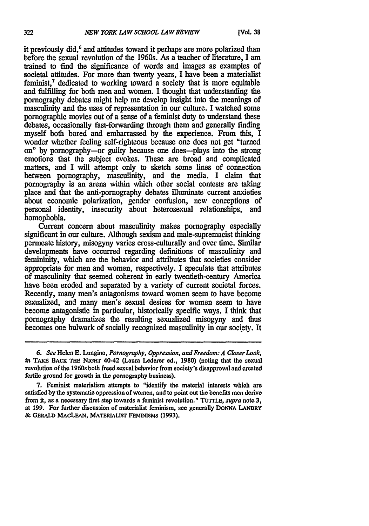it previously did,<sup>6</sup> and attitudes toward it perhaps are more polarized than before the sexual revolution of the 1960s. As a teacher of literature, I am trained to find the significance of words and images as examples of societal attitudes. For more than twenty years, **I** have been a materialist feminist, $\alpha$  dedicated to working toward a society that is more equitable and fulfilling for both men and women. I thought that understanding the pornography debates might help me develop insight into the meanings of masculinity and the uses of representation in our culture. I watched some pornographic movies out of a sense of a feminist duty to understand these debates, occasionally fast-forwarding through them and generally finding myself both bored and embarrassed **by** the experience. From this, **I** wonder whether feeling self-righteous because one does not get "turned on" **by** pornography-or guilty because one does-plays into the strong emotions that the subject evokes. These are broad and complicated matters, and I will attempt only to sketch some lines of connection between pornography, masculinity, and the media. I claim that pornography is an arena within which other social contests are taking place and that the anti-pornography debates illuminate current anxieties about economic polarization, gender confusion, new conceptions of personal identity, insecurity about heterosexual relationships, and homophobia.

Current concern about masculinity makes pornography especially significant in our culture. Although sexism and male-supremacist thinking permeate history, misogyny varies cross-culturally and over time. Similar developments have occurred regarding definitions of masculinity and femininity, which are the behavior and attributes that societies consider appropriate for men and women, respectively. I speculate that attributes of masculinity that seemed coherent in early twentieth-century America have been eroded and separated by a variety of current societal forces. Recently, many men's antagonisms toward women seem to have become sexualized, and many men's sexual desires for women seem to have become antagonistic in particular, historically specific ways. **I** think that pornography dramatizes the resulting sexualized misogyny and thus becomes one bulwark of socially recognized masculinity in our society. It

*<sup>6.</sup> See* Helen E. Longino, *Pornography, Oppression, and Freedom: A Closer Look, in* TAKE BACK THE NIGHT 40-42 (Laura Lederer ed., 1980) (noting that the sexual revolution of the 1960s both freed sexualbehavior from society's disapproval and created fertile ground for growth in the pornography business).

<sup>7.</sup> Feminist materialism attempts to "identify the material interests which are satisfied **by** the systematic oppression of women, and to point out the benefits men derive from it, as a necessary first step towards a feminist revolution." TUTrLE, supra note 3, at 199. For further discussion of materialist feminism, see generally **DONNA LANDRY & GERALD MACLEAN, MATERIALIST FEMINISMS (1993).**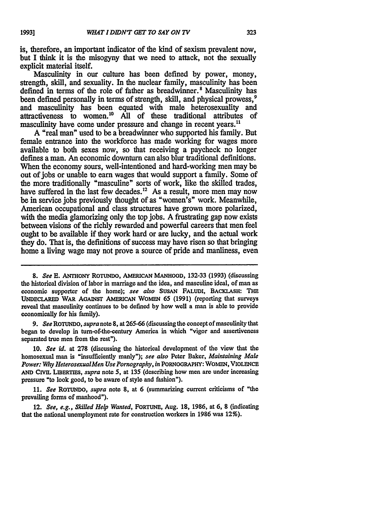is, therefore, an important indicator of the kind of sexism prevalent now, but I think it is the misogyny that we need to attack, not the sexually explicit material itself.

Masculinity in our culture has been defined by power, money, strength, skill, and sexuality. In the nuclear family, masculinity has been defined in terms of the role of father as breadwinner.' Masculinity has been defined personally in terms of strength, skill, and physical prowess,<sup>9</sup> and masculinity has been equated with male heterosexuality and attractiveness to women.<sup>10</sup> All of these traditional attributes of masculinity have come under pressure and change in recent years.<sup>11</sup>

A "real man" used to be a breadwinner who supported his family. But female entrance into the workforce has made working for wages more available to both sexes now, so that receiving a paycheck no longer defines a man. An economic downturn can also blur traditional definitions. When the economy sours, well-intentioned and hard-working men may be out of jobs or unable to earn wages that would support a family. Some of the more traditionally "masculine" sorts of work, like the skilled trades, have suffered in the last few decades.<sup>12</sup> As a result, more men may now be in service jobs previously thought of as "women's" work. Meanwhile, American occupational and class structures have grown more polarized, with the media glamorizing only the top jobs. A frustrating gap now exists between visions of the richly rewarded and powerful careers that men feel ought to be available if they work hard or are lucky, and the actual work they do. That is, the definitions of success may have risen so that bringing home a living wage may not prove a source of pride and manliness, even

**9.** *See* ROTUNDO, *supra* note **8,** at **265-66** (discussing the concept of masculinity that began to develop in turn-of-the-century America in which "vigor and assertiveness separated true men from the rest").

**10.** *See id.* at **278** (discussing the historical development of the view that the homosexual man is "insufficiently manly"); *see also* Peter Baker, *Maintaining Male Power: Why HeterosexualMen Use Pornography, in* PORNOGRAPHY: **WOMEN, VIOLENCE AND CIVIL** LIBERTIES, *supra* note **5,** at **135** (describing how men are under increasing pressure "to look good, to **be** aware of style and fashion").

**11.** *See* ROTUNDO, *supra* note **8,** at **6** (summarizing current criticisms of "the prevailing forms of manhood").

*12. See, e.g., Skilled Help Wanted,* FORTUNE, Aug. **18,** 1986, at 6, **8** (indicating that the national unemployment rate for construction workers in **1986** was 12%).

**<sup>8.</sup>** *See* **E.** ANTHONY ROTUNDO, **AMERICAN** MANHOOD, **132-33** (1993) (discussing the historical division of labor in marriage and the idea, and masculine ideal, of man as economic supporter of the home); *see also* **SUSAN** FALUDI, **BACKLASH:** THE **UNDECLARED** WAR AGAINST AMERIcAN WOMEN **65 (1991)** (reporting that surveys reveal that masculinity continues to be defined **by** how well a man is able to provide economically for his family).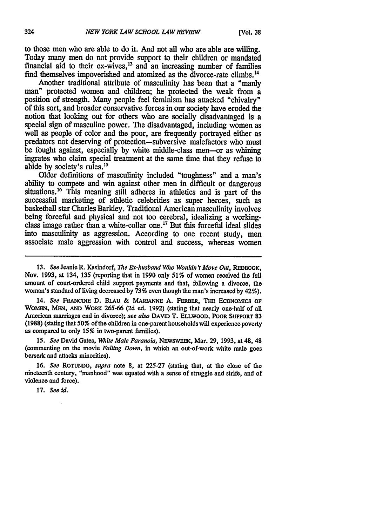to those men who are able to do it. And not all who are able are willing. Today many men do not provide support to their children or mandated financial aid to their ex-wives, $13$  and an increasing number of families find themselves impoverished and atomized as the divorce-rate climbs.<sup>14</sup>

Another traditional attribute of masculinity has been that a "manly man" protected women and children; he protected the weak from a position of strength. Many people feel feminism has attacked "chivalry" of this sort, and broader conservative forces in our society have eroded the notion that looking out for others who are socially disadvantaged is a special sign of masculine power. The disadvantaged, including women as well as people of color and the poor, are frequently portrayed either as predators not deserving of protection-subversive malefactors who must be fought against, especially by white middle-class men-or as whining ingrates who claim special treatment at the same time that they refuse to abide by society's rules.<sup>15</sup>

Older definitions of masculinity included "toughness" and a man's ability to compete and win against other men in difficult or dangerous situations.16 This meaning still adheres in athletics and is part of the successful marketing of athletic celebrities as super heroes, such as basketball star Charles Barkley. Traditional American masculinity involves being forceful and physical and not too cerebral, idealizing a workingclass image rather than a white-collar one.<sup>17</sup> But this forceful ideal slides into masculinity as aggression. According to one recent study, men associate male aggression with control and success, whereas women

14. *See* **FRANCINE** D. **BLAU** & MARIANNE A. **FERBER,** THE **ECONOMICS OF WOMEN, MEN, AND WORK 265-66** (2d ed. **1992)** (stating that nearly one-half of all American marriages end in divorce); *see also* DAvID T. ELLWOOD, **POOR SUPPORT 83 (1988)** (stating that 50% of the children in one-parent households will experience poverty as compared to only **15%** in two-parent families).

*15. See* David Gates, *White Male Paranoia,* **NEWSWEEK,** Mar. **29, 1993,** at 48, 48 (commenting on the movie *Falling Down,* in which an out-of-work white male goes berserk and attacks minorities).

**16.** *See* **ROTUNDO,** *supra* note **8,** at 225-27 (stating that, at the close of the nineteenth century, "manhood" was equated with a sense of struggle and strife, and of violence and force).

**17.** *See id.*

**<sup>13.</sup>** *See* **Jeanie** R. Kasindorf, *The Ex-husband Who Wouldn't Move* **Out, REDBOOK,** Nov. **1993,** at 134, **135** (reporting that in **1990** only 51% of women received the full amount of court-ordered child support payments and that, following a divorce, the woman's standard of living decreased by 73 % even though the man's increased by 42%).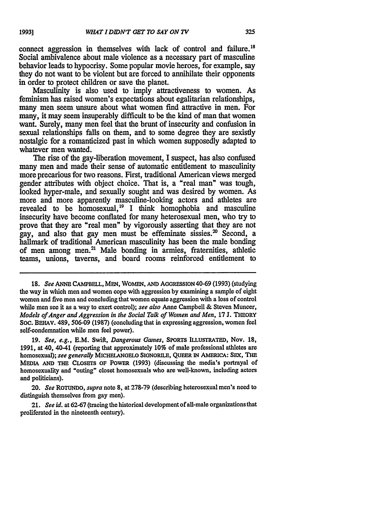connect aggression in themselves with lack of control and failure.<sup>18</sup> Social ambivalence about male violence as a necessary part of masculine behavior leads to hypocrisy. Some popular movie heroes, for example, say they do not want to be violent but are forced to annihilate their opponents in order to protect children or save the planet.

Masculinity is also used to imply attractiveness to women. As feminism has raised women's expectations about egalitarian relationships, many men seem unsure about what women find attractive in men. For many, it may seem insuperably difficult to be the kind of man that women want. Surely, many men feel that the brunt of insecurity and confusion in sexual relationships falls on them, and to some degree they are sexistly nostalgic for a romanticized past in which women supposedly adapted to whatever men wanted.

The rise of the gay-liberation movement, I suspect, has also confused many men and made their sense of automatic entitlement to masculinity more precarious for two reasons. First, traditional American views merged gender attributes with object choice. That is, a "real man" was tough, looked hyper-male, and sexually sought and was desired by women. As more and more apparently masculine-looking actors and athletes are revealed to be homosexual,<sup>19</sup> I think homophobia and masculine insecurity have become conflated for many heterosexual men, who try to prove that they are "real men" by vigorously asserting that they are not gay, and also that gay men must be effeminate sissies.<sup>20</sup> Second, a hallmark of traditional American masculinity has been the male bonding of men among men.<sup>21</sup> Male bonding in armies, fraternities, athletic teams, unions, taverns, and board rooms reinforced entitlement to

**18.** *See* **ANNE CAMPBELL, MEN, WOMEN, AND** AGGRESSION40-69 (1993) (studying the way in which men and women cope with aggression by examining a sample of eight women and five men and concluding that women equate aggression with a loss of control while men see it as a way to exert control); see also Anne Campbell & Steven Muncer, *Models of Anger and Aggression in the Social Talk of Women and Men,* 17 **J. THEORY** Soc. BEHAv. 489, 506-09 (1987) (concluding that in expressing aggression, women feel self-condemnation while men feel power).

**19.** *See, e.g.,* E.M. Swift, *Dangerous Games,* **SPORTS** ILLUSTRATED, Nov. **18,** 1991, at 40, 40-41 (reporting that approximately 10% of male professional athletes are homosexual); *see generally* **MICHELANGELO SIONORILE, QUEER IN AMERICA: SEX, THE** MEDIA **AND THE CLOSETS OF** POwER (1993) (discussing the media's portrayal of homosexuality and "outing" closet homosexuals who are well-known, including actors and politicians).

20. *See* ROTUNDO, *supra* note **8,** at **278-79** (describing heterosexual men's need to distinguish themselves from gay men).

21. *See id.* at **62-67** (tracing the historical development of all-male organizations that proliferated in the nineteenth century).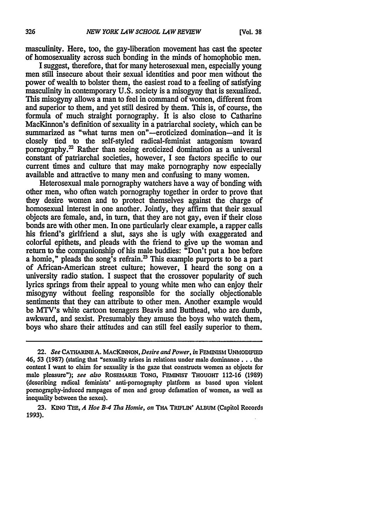masculinity. Here, too, the gay-liberation movement has cast the specter of homosexuality across such bonding in the minds of homophobic men.

I suggest, therefore, that for many heterosexual men, especially young men still insecure about their sexual identities and poor men without the power of wealth to bolster them, the easiest road to a feeling of satisfying masculinity in contemporary U.S. society is a misogyny that is sexualized. This misogyny allows a man to feel in command of women, different from and superior to them, and yet still desired by them. This is, of course, the formula of much straight pornography. It is also close to Catharine MacKinnon's definition of sexuality in a patriarchal society, which can be summarized as "what turns men on"-eroticized domination-and it is closely tied to the self-styled radical-feminist antagonism toward pornography.<sup>22</sup> Rather than seeing eroticized domination as a universal constant of patriarchal societies, however, I see factors specific to our current times and culture that may make pornography now especially available and attractive to many men and confusing to many women.

Heterosexual male pornography watchers have a way of bonding with other men, who often watch pornography together in order to prove that they desire women and to protect themselves against the charge of homosexual interest in one another. Jointly, they affirm that their sexual objects are female, and, in turn, that they are not gay, even if their close bonds are with other men. In one particularly clear example, a rapper calls his friend's girlfriend a slut, says she is ugly with exaggerated and colorful epithets, and pleads with the friend to give up the woman and return to the companionship of his male buddies: "Don't put a hoe before a homie," pleads the song's refrain.<sup>23</sup> This example purports to be a part of African-American street culture; however, I heard the song on a university radio station. I suspect that the crossover popularity of such lyrics springs from their appeal to young white men who can enjoy their misogyny without feeling responsible for the socially objectionable sentiments that they can attribute to other men. Another example would be MTV's white cartoon teenagers Beavis and Butthead, who are dumb, awkward, and sexist. Presumably they amuse the boys who watch them, boys who share their attitudes and can still feel easily superior to them.

<sup>22.</sup> *See* **CATHARINEA. MACKINNON,** *Desire and Power, in* **FEmiNISM UNMODIFIED** 46, **53** (1987) (stating that "sexuality arises in relations under male dominance... the content I want to claim for sexuality is the gaze that constructs women as objects for male pleasure"); see also **RosEMARmi** TONG, **FEmInST THOUGHT** 112-16 (1989) (describing radical feminists' anti-pornography platform as based upon violent pornography-induced rampages of men and group defamation of women, as well as inequality between the sexes).

**<sup>23.</sup> KING TEE,** *A Hoe B-4 Tha Homie, on* **THA** TRWLuN' **ALBUM** (Capitol Records 1993).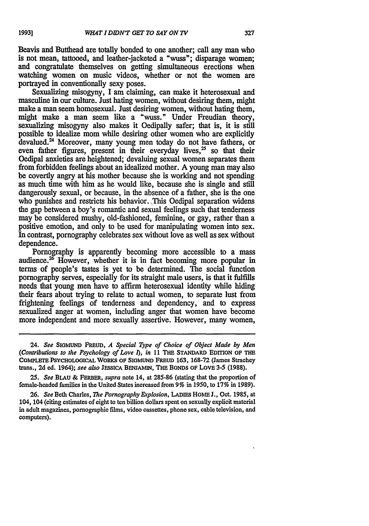Beavis and Butthead are totally bonded to one another; call any man who is not mean, tattooed, and leather-jacketed a "wuss"; disparage women; and congratulate themselves on getting simultaneous erections when watching women on music videos, whether or not the women are portrayed in conventionally sexy poses.

Sexualizing misogyny, I am claiming, can make it heterosexual and masculine in our culture. Just hating women, without desiring them, might make a man seem homosexual. Just desiring women, without hating them, might make a man seem like a "wuss." Under Freudian theory, sexualizing misogyny also makes it Oedipally safer; that is, it is still possible to idealize mom while desiring other women who are explicitly devalued.<sup>24</sup> Moreover, many young men today do not have fathers, or even father figures, present in their everyday lives, $25$  so that their Oedipal anxieties are heightened; devaluing sexual women separates them from forbidden feelings about an idealized mother. A young man may also be covertly angry at his mother because she is working and not spending as much time with him as he would like, because she is single and still dangerously sexual, or because, in the absence of a father, she is the one who punishes and restricts his behavior. This Oedipal separation widens the gap between a boy's romantic and sexual feelings such that tenderness may be considered mushy, old-fashioned, feminine, or gay, rather than a positive emotion, and only to be used for manipulating women into sex. In contrast, pornography celebrates sex without love as well as sex without dependence.

Pornography is apparently becoming more accessible to a mass audience.<sup>26</sup> However, whether it is in fact becoming more popular in terms of people's tastes is yet to be determined. The social function pornography serves, especially for its straight male users, is that it fulfills needs that young men have to affirm heterosexual identity while hiding their fears about trying to relate to actual women, to separate lust from frightening feelings of tenderness and dependency, and to express sexualized anger at women, including anger that women have become more independent and more sexually assertive. However, many women,

<sup>24.</sup> *See* SIGMUND FREuD, *A Special Type of Choice of Object Made by Men (Contributions to the Psychology of Love 1), in* **11** THE STANDARD **EDITION OF** THE COMPLETE PSYCHoLOGIcAL **WoRKs oF SIGmUND** FREUD **163, 168-72** (James Strachey trans., **2d** ed. 1964); *see also* JESSICA BENjAmIN, THE BONDs OF LOVE **3-5 (1988).**

*<sup>25.</sup> See* BLAU **&** FERBER, *supra* note 14, at **285-86** (stating that the proportion of female-headed families in the United States increased from 9% in 1950, to 17% in 1989).

**<sup>26.</sup>** *See* Beth Charles, *The Pornography Explosion,* LADIES HOME **J.,** Oct. **1985,** at 104, 104 (citing estimates of eight to ten billion dollars spent on sexually explicit material in adult magazines, pornographic films, video cassettes, phone sex, cable television, and computers).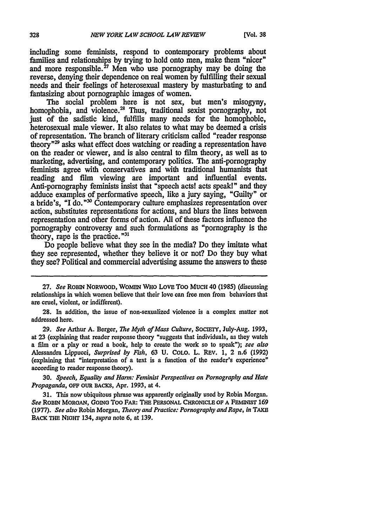including some feminists, respond to contemporary problems about families and relationships by trying to hold onto men, make them "nicer" and more responsible.<sup> $27$ </sup> Men who use pornography may be doing the reverse, denying their dependence on real women by fulfilling their sexual needs and their feelings of heterosexual mastery by masturbating to and fantasizing about pornographic images of women.

The social problem here is not sex, but men's misogyny, homophobia, and violence.<sup>28</sup> Thus, traditional sexist pornography, not just of the sadistic kind, fulfills many needs for the homophobic, heterosexual male viewer. It also relates to what may be deemed a crisis of representation. The branch of literary criticism called "reader response theory<sup>"29</sup> asks what effect does watching or reading a representation have on the reader or viewer, and is also central to film theory, as well as to marketing, advertising, and contemporary politics. The anti-pornography feminists agree with conservatives and with traditional humanists that reading and film viewing are important and influential events. Anti-pornography feminists insist that "speech acts! acts speak!" and they adduce examples of performative speech, like a jury saying, "Guilty" or a bride's, "I do.<sup>"30</sup> Contemporary culture emphasizes representation over action, substitutes representations for actions, and blurs the lines between representation and other forms of action. **All** of these factors influence the pornography controversy and such formulations as "pornography is the theory, rape is the practice." $3$ 

Do people believe what they see in the media? Do they imitate what they see represented, whether they believe it or not? Do they buy what they see? Political and commercial advertising assume the answers to these

**30.** *Speech, Equality and Harm: Feminist Perspectives on Pornography and Hate Propaganda,* **OFF OUR** BACKS, Apr. **1993,** at 4.

**31.** This now ubiquitous phrase was apparently originally used **by** Robin Morgan. *See* **ROBIN MORGAN, GOING** Too **FAR: THE PERSONAL CHRONICLE OF A FEMINIST** 169 **(1977).** *See also* Robin Morgan, *Theory and Practice: Pornography and Rape, in* **TAKE** BACK THE NIGHT 134, *supra* note **6,** at **139.**

**<sup>27.</sup>** *See* ROBIN NORWOOD, **WOMEN** WHO LOVE Too MucH 40 **(1985)** (discussing relationships in which women believe that their love can free men from behaviors that are cruel, violent, or indifferent).

<sup>28.</sup> In addition, the issue of non-sexualized violence is a complex matter not addressed here.

**<sup>29.</sup>** *See* Arthur **A.** Berger, *The Myth of Mass Culture,* SoCIETY, July-Aug. **1993,** at **23** (explaining that reader response theory "suggests that individuals, as they watch a film or a play or read a book, **help** to create the work so to speak"); see also Alessandra Lippucci, *Surprised by Fish,* **63 U.** COLO. L. REv. **1,** 2 n.6 (1992) (explaining that "interpretation of a text is a function of the reader's experience" according to reader response theory).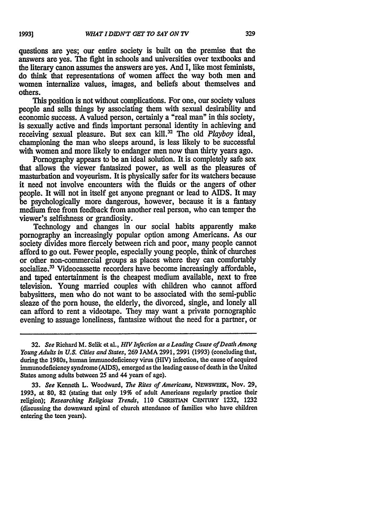questions are yes; our entire society is built on the premise that the answers are yes. The fight in schools and universities over textbooks and the literary canon assumes the answers are yes. And I, like most feminists, do think that representations of women affect the way both men and women internalize values, images, and beliefs about themselves and others.

This position is not without complications. For one, our society values people and sells things by associating them with sexual desirability and economic success. A valued person, certainly a "real man" in this society, is sexually active and finds important personal identity in achieving and receiving sexual pleasure. But sex can kill.32 The old *Playboy* ideal, championing the man who sleeps around, is less likely to be successful with women and more likely to endanger men now than thirty years ago.

Pornography appears to be an ideal solution. It is completely safe sex that allows the viewer fantasized power, as well as the pleasures of masturbation and voyeurism. It is physically safer for its watchers because it need not involve encounters with the fluids or the angers of other people. It will not in itself get anyone pregnant or lead to AIDS. It may be psychologically more dangerous, however, because it is a fantasy medium free from feedback from another real person, who can temper the viewer's selfishness or grandiosity.

Technology and changes in our social habits apparently make pornography an increasingly popular option among Americans. As our society divides more fiercely between rich and poor, many people cannot afford to go out. Fewer people, especially young people, think of churches or other non-commercial groups as places where they can comfortably socialize.<sup>33</sup> Videocassette recorders have become increasingly affordable, and taped entertainment is the cheapest medium available, next to free television. Young married couples with children who cannot afford babysitters, men who do not want to be associated with the semi-public sleaze of the porn house, the elderly, the divorced, single, and lonely all can afford to rent a videotape. They may want a private pornographic evening to assuage loneliness, fantasize without the need for a partner, or

**<sup>32.</sup>** *See* Richard M. Selik et al., *HIV Infection as a Leading Cause of Death Among Young Adults in U.S. Cities and States,* **269** JAMA 2991, 2991 (1993) (concluding that, during the 1980s, human immunodeficiency virus (HIV) infection, the cause of acquired immunodeficiency syndrome (AIDS), emerged as the leading cause of death in the United States among adults between 25 and 44 years of age).

**<sup>33.</sup>** *See* Kenneth L. Woodward, *The Rites of Americans,* **NEWsWEEK,** Nov. **29,** 1993, at **80,** 82 (stating that only 19% of adult Americans regularly practice their religion); *Researching Religious Trends,* **110** CHRIsTIAN **CENTuRY 1232,** 1232 (discussing the downward spiral of church attendance of families who have children entering the teen years).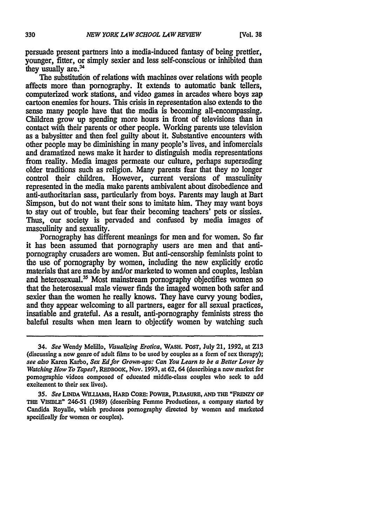persuade present partners into a media-induced fantasy of being prettier, younger, fitter, or simply sexier and less self-conscious or inhibited than they usually are.<sup>34</sup>

The substitution of relations with machines over relations with people affects more **than** pornography. It extends to automatic bank tellers, computerized work stations, and video games in arcades where boys zap cartoon enemies for hours. This crisis in representation also extends to the sense many people have that the media is becoming all-encompassing. Children grow up spending more hours in front of televisions than in contact with their parents or other people. Working parents use television as a babysitter and then feel guilty about it. Substantive encounters with other people may be diminishing in many people's lives, and infomercials and dramatized news make it harder to distinguish media representations from reality. Media images permeate our culture, perhaps superseding older traditions such as religion. Many parents fear that they no longer control their children. However, current versions of masculinity represented in the media make parents ambivalent about disobedience and anti-authoritarian sass, particularly from boys. Parents may laugh at Bart Simpson, but do not want their sons to imitate him. They may want boys to stay out of trouble, but fear their becoming teachers' pets or sissies. Thus, our society is pervaded and confused by media images of masculinity and sexuality.

Pornography has different meanings for men and for women. So far it has been assumed that pornography users are men and that antipornography crusaders are women. But anti-censorship feminists point to the use of pornography by women, including the new explicitly erotic materials that are made by and/or marketed to women and couples, lesbian and heterosexual.<sup>35</sup> Most mainstream pornography objectifies women so that the heterosexual male viewer finds the imaged women both safer and sexier than the women he really knows. They have curvy young bodies, and they appear welcoming to all partners, eager for all sexual practices, insatiable and grateful. As a result, anti-pornography feminists stress the baleful results when men learn to objectify women by watching such

<sup>34.</sup> *See* Wendy Melillo, Visualizing Erotica, **WASH.** PosT, July 21, 1992, at Z13 (discussing a new genre of adult films to be used **by** couples as a form of sex therapy); *see also* Karen Karbo, *Sex Ed for Grown-ups: Can You Learn to be a Better Lover by Watching How To Tapes?,* REDBOOK, **Nov. 1993,** at **62,** 64 (describing a new market for pornographic videos composed of educated middle-class couples who seek to add excitement to their sex lives).

**<sup>35.</sup>** *See* **LINDA WILLTAMS,** HARD CORE: **POWER, PLEASURE, AND THE "FRENZY OF THE VISMLE"** 246-51 (1989) (describing Femme Productions, a company started **by** Candida Royalle, which produces pornography directed **by** women and marketed specifically for women or couples).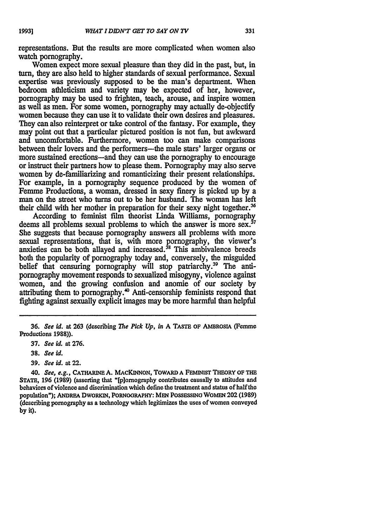representations. But the results are more complicated when women also watch pornography.

Women expect more sexual pleasure than they did in the past, but, in **turn,** they are also held to higher standards of sexual performance. Sexual expertise was previously supposed to be the man's department. When bedroom athleticism and variety may be expected of her, however, pornography may be used to frighten, teach, arouse, and inspire women as well as men. For some women, pornography may actually de-objectify women because they can use it to validate their own desires and pleasures. They can also reinterpret or take control of the fantasy. For example, they may point out that a particular pictured position is not fun, but awkward and uncomfortable. Furthermore, women too can make comparisons between their lovers and the performers-the male stars' larger organs or more sustained erections—and they can use the pornography to encourage or instruct their partners how to please them. Pornography may also serve women by de-familiarizing and romanticizing their present relationships. For example, in a pornography sequence produced by the women of Femme Productions, a woman, dressed in sexy finery is picked up by a man on the street who turns out to be her husband. The woman has left their child with her mother in preparation for their sexy night together.'

According to feminist film theorist Linda Williams, pornography deems all problems sexual problems to which the answer is more sex.<sup>37</sup> She suggests that because pornography answers **all** problems with more sexual representations, that is, with more pornography, the viewer's anxieties can be both allayed and increased.<sup>38</sup> This ambivalence breeds both the popularity of pornography today and, conversely, the misguided belief that censuring pornography will stop patriarchy.<sup>39</sup> The antipornography movement responds to sexualized misogyny, violence against women, and the growing confusion and anomie of our society **by** attributing them to pornography. 4 Anti-censorship feminists respond that fighting against sexually explicit images may be more harmful than helpful

**39.** *See id.* at 22.

*40. See, e.g.,* CATHARINE **A. MAcKINNON, TOWARD A FEMNIST THEORY OF THE STATE, 196 (1989)** (asserting that "[plornography contributes causally to attitudes and behaviors of violence and discrimination which define the treatment and status of half the population"); **ANDREA** DwORKN, **PORNOoRAPHY: MEN** PoSSESSiNO WOMEN 202 **(1989)** (describing pornography as a technology which legitimizes the uses of women conveyed **by** it).

331

**<sup>36.</sup>** *See id.* at **263** (describing *The Pick Up, in* A **TASTE OF AMBROSIA** (Femme Productions **1988)).**

**<sup>37.</sup>** *See id.* at **276.**

**<sup>38.</sup>** *See id.*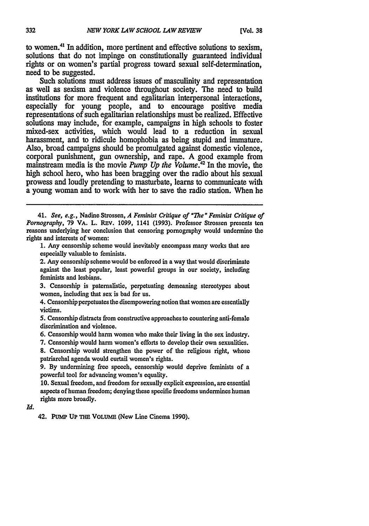to women.41 In addition, more pertinent and effective solutions to sexism, solutions that do not impinge on constitutionally guaranteed individual rights or on women's partial progress toward sexual self-determination, need to be suggested.

Such solutions must address issues of masculinity **and** representation as well as sexism and violence throughout society. The need to build institutions for more frequent and egalitarian interpersonal interactions, especially for young people, and to encourage positive media representations of such egalitarian relationships must be realized. Effective solutions may include, for example, campaigns in high schools to foster mixed-sex activities, which would lead to a reduction in sexual harassment, and to ridicule homophobia as being stupid and immature. Also, broad campaigns should be promulgated against domestic violence, corporal punishment, gun ownership, and rape. A good example from corporal punishment, gun ownership, and rape. A good example from **mainstream** media is the movie *Pump Up the Volume.4 '* In the movie, the high school hero, who has been bragging over the radio about his sexual prowess and loudly pretending to masturbate, learns to communicate with a young woman and to work with her to save the radio station. When he

41. *See, e.g.,* Nadine Strossen, *A* Feminist Critique of *"The"* Feminist Critique of *Pornography,* 79 VA. L. REv. 1099, 1141 (1993). Professor Strossen presents ten reasons underlying her conclusion that censoring pornography would undermine the rights and interests of women:

1. Any censorship scheme would inevitably encompass many works that are especially valuable to feminists.

2. Any censorship scheme would be enforced in a way that would discriminate against the least popular, least powerful groups in our society, including feminists and lesbians.

**3.** Censorship is paternalistic, perpetuating demeaning stereotypes about women, including that sex is bad for us.

4. Censorship perpetuates the disempowering notion that women are essentially victims.

**5.** Censorship distracts from constructive approaches to countering anti-female discrimination and violence.

6. Censorship would harm women who make their living in the sex industry.

7. Censorship would harm women's efforts to develop their own sexualities. **8.** Censorship would strengthen the power of the religious right, whose

patriarchal agenda would curtail women's rights.

9. **By** undermining free speech, censorship would deprive feminists of a powerful tool for advancing women's equality.

**10.** Sexual freedom, and freedom for sexually explicit expression, are essential aspects of human freedom; denying these specific freedoms undermines human rights more broadly.

*Id.*

42. **PUMP UP THE** VOLUME (New Line Cinema 1990).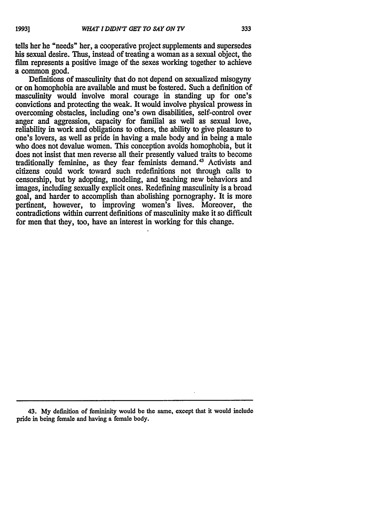tells her he "needs" her, a cooperative project supplements and supersedes his sexual desire. Thus, instead of treating a woman as a sexual object, the film represents a positive image of the sexes working together to achieve a common good.

Definitions of masculinity that do not depend on sexualized misogyny or on homophobia are available and must be fostered. Such a definition of masculinity would involve moral courage in standing up for one's convictions and protecting the weak. It would involve physical prowess in overcoming obstacles, including one's own disabilities, self-control over anger and aggression, capacity for familial as well as sexual love, reliability in work and obligations to others, the ability to give pleasure to one's lovers, as well as pride in having a male body and in being a male who does not devalue women. This conception avoids homophobia, but it does not insist that men reverse all their presently valued traits to become traditionally feminine, as they fear feminists demand.<sup>43</sup> Activists and citizens could work toward such redefinitions not through calls to censorship, but by adopting, modeling, and teaching new behaviors and images, including sexually explicit ones. Redefining masculinity is a broad goal, and harder to accomplish than abolishing pornography. It is more pertinent, however, to improving women's lives. Moreover, the contradictions within current definitions of masculinity make it so difficult for men that they, too, have an interest in working for this change.

**<sup>43.</sup> My definition of femininity would be the same, except that it would include pride in being female and having a female body.**